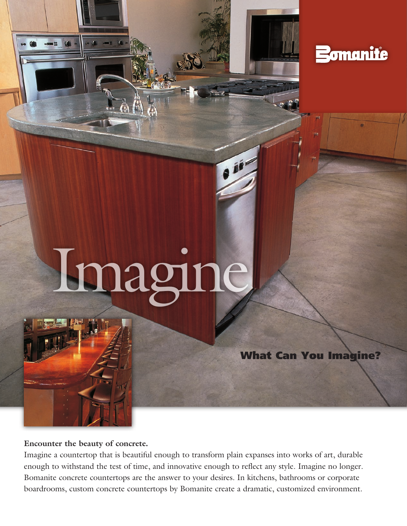

# Imagine

What Can You Imagine?

**Encounter the beauty of concrete.** 

Imagine a countertop that is beautiful enough to transform plain expanses into works of art, durable enough to withstand the test of time, and innovative enough to reflect any style. Imagine no longer. Bomanite concrete countertops are the answer to your desires. In kitchens, bathrooms or corporate boardrooms, custom concrete countertops by Bomanite create a dramatic, customized environment.

oir